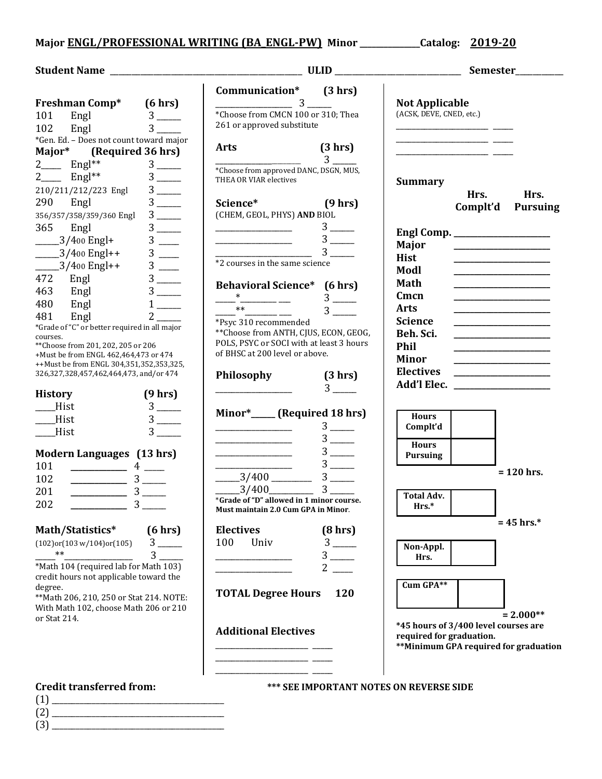## **Major ENGL/PROFESSIONAL WRITING (BA\_ENGL-PW) Minor \_\_\_\_\_\_\_\_\_\_\_\_\_\_\_Catalog: 2019-20**

|                                                                                                                                                                                                                                                                                                                                                                                                                                              |                                                                                                                                                                                                                                                                                                                                                                 |                       | Semester_________                                                                                         |                                                                                                                                                                                                                                                                                                                                                              |                         |
|----------------------------------------------------------------------------------------------------------------------------------------------------------------------------------------------------------------------------------------------------------------------------------------------------------------------------------------------------------------------------------------------------------------------------------------------|-----------------------------------------------------------------------------------------------------------------------------------------------------------------------------------------------------------------------------------------------------------------------------------------------------------------------------------------------------------------|-----------------------|-----------------------------------------------------------------------------------------------------------|--------------------------------------------------------------------------------------------------------------------------------------------------------------------------------------------------------------------------------------------------------------------------------------------------------------------------------------------------------------|-------------------------|
| Freshman Comp* (6 hrs)<br>Engl<br>Engl<br>$3$ —<br>101<br>$3 \quad \blacksquare$<br>102<br>*Gen. Ed. - Does not count toward major                                                                                                                                                                                                                                                                                                           | Communication* (3 hrs)<br>*Choose from CMCN 100 or 310; Thea<br>261 or approved substitute                                                                                                                                                                                                                                                                      |                       | <b>Not Applicable</b><br>(ACSK, DEVE, CNED, etc.)                                                         |                                                                                                                                                                                                                                                                                                                                                              |                         |
| Major* (Required 36 hrs)<br>$\frac{2}{2}$ Engl <sup>**</sup><br>Engl <sup>**</sup><br>$3$ —<br>$3$ —<br>210/211/212/223 Engl<br>Engl<br>290<br>$3$ —<br>356/357/358/359/360 Engl                                                                                                                                                                                                                                                             | <b>Arts</b><br>*Choose from approved DANC, DSGN, MUS,<br>THEA OR VIAR electives<br>Science* (9 hrs)<br>(CHEM, GEOL, PHYS) AND BIOL                                                                                                                                                                                                                              | (3 hr)<br>$3^{\circ}$ | <b>Summary</b>                                                                                            | Hrs.<br>Complt'd                                                                                                                                                                                                                                                                                                                                             | Hrs.<br><b>Pursuing</b> |
| 365 Engl<br>$3$ —<br>$3$ —<br>$-3/400$ Engl+<br>$3$ —<br>$-3/400$ Engl++<br>$-3/400$ Engl++<br>$3$ —<br>472<br>Engl<br>463<br>$3$ —<br>Engl                                                                                                                                                                                                                                                                                                  | *2 courses in the same science<br><b>Behavioral Science*</b> (6 hrs)                                                                                                                                                                                                                                                                                            | $3$ —<br>$3$ —        | Major<br>Hist<br>Modl<br>Math<br>Cmcn                                                                     | the control of the control of the control of the                                                                                                                                                                                                                                                                                                             |                         |
| 480<br>Engl<br>$1$ <sub>——</sub><br>$2^{\sim}$<br>481<br>Engl<br>*Grade of "C" or better required in all major<br>courses.<br>** Choose from 201, 202, 205 or 206<br>+Must be from ENGL 462,464,473 or 474<br>++Must be from ENGL 304,351,352,353,325,<br>326,327,328,457,462,464,473, and/or 474                                                                                                                                            | *Psyc 310 recommended<br>** Choose from ANTH, CJUS, ECON, GEOG,<br>POLS, PSYC or SOCI with at least 3 hours<br>of BHSC at 200 level or above.<br>Philosophy                                                                                                                                                                                                     | (3 hr)                | <b>Arts</b><br><b>Science</b><br>Beh. Sci.<br>Phil<br><b>Minor</b><br><b>Electives</b>                    | <u> 1989 - Johann Barn, mars eta bat erroman erroman erroman erroman erroman erroman erroman erroman erroman err</u><br><u> 2000 - John Harry Harry Harry Harry Harry Harry Harry Harry Harry Harry Harry Harry Harry Harry Harry Harry Harry Harry Harry Harry Harry Harry Harry Harry Harry Harry Harry Harry Harry Harry Harry Harry Harry Harry Harr</u> |                         |
| (9 hrs)<br><b>History</b><br>$3$ —<br>Hist<br>$3$ —<br>Hist<br>$3$ —<br>$\underline{\qquad}$ Hist                                                                                                                                                                                                                                                                                                                                            | <u> 2008 - Johann Stoff, fransk politik (</u><br>Minor* _____ (Required 18 hrs)<br><u> 1989 - Johann Barbara, martin d</u>                                                                                                                                                                                                                                      | $3$ —<br>$3$ —        | Add'l Elec.<br><b>Hours</b><br>Complt'd<br><b>Hours</b>                                                   |                                                                                                                                                                                                                                                                                                                                                              |                         |
| Modern Languages (13 hrs)<br>101<br>$\frac{1}{1}$ $\frac{1}{1}$ $\frac{1}{1}$ $\frac{1}{1}$ $\frac{1}{1}$ $\frac{1}{1}$ $\frac{1}{1}$ $\frac{1}{1}$ $\frac{1}{1}$ $\frac{1}{1}$ $\frac{1}{1}$ $\frac{1}{1}$ $\frac{1}{1}$ $\frac{1}{1}$ $\frac{1}{1}$ $\frac{1}{1}$ $\frac{1}{1}$ $\frac{1}{1}$ $\frac{1}{1}$ $\frac{1}{1}$ $\frac{1}{1}$ $\frac{1}{1}$<br>$\frac{3}{2}$<br>102<br>$\frac{3}{2}$<br>201<br>202<br>$\overline{\phantom{a}}$ 3 | $\frac{3}{3}$ 3<br>$\frac{3}{400}$ $\frac{3}{400}$ $\frac{3}{400}$ $\frac{3}{400}$ $\frac{3}{400}$ $\frac{3}{400}$ $\frac{400}{400}$ $\frac{3}{400}$ $\frac{400}{400}$ $\frac{3}{400}$ $\frac{400}{400}$ $\frac{3}{400}$ $\frac{400}{400}$ $\frac{3}{400}$ $\frac{400}{400}$ $\frac{3}{400}$ $\frac{400}{400}$ $\frac{3$<br>Must maintain 2.0 Cum GPA in Minor. |                       | <b>Pursuing</b><br><b>Total Adv.</b><br>Hrs.*                                                             |                                                                                                                                                                                                                                                                                                                                                              | $= 120$ hrs.            |
| Math/Statistics*<br>(6 hrs)<br>$3$ —<br>$(102)$ or $(103 w/104)$ or $(105)$<br>$**$<br>$3^{\circ}$<br>*Math 104 (required lab for Math 103)<br>credit hours not applicable toward the                                                                                                                                                                                                                                                        | <b>Electives</b><br>100<br>Univ                                                                                                                                                                                                                                                                                                                                 | (8 hrs)<br>$3$ —      | Non-Appl.<br>Hrs.<br>Cum GPA**                                                                            |                                                                                                                                                                                                                                                                                                                                                              | $= 45$ hrs.*            |
| degree.<br>** Math 206, 210, 250 or Stat 214. NOTE:<br>With Math 102, choose Math 206 or 210<br>or Stat 214.                                                                                                                                                                                                                                                                                                                                 | <b>TOTAL Degree Hours</b><br><b>Additional Electives</b>                                                                                                                                                                                                                                                                                                        | 120                   | *45 hours of 3/400 level courses are<br>required for graduation.<br>**Minimum GPA required for graduation |                                                                                                                                                                                                                                                                                                                                                              | $= 2.000**$             |
| <b>Credit transferred from:</b><br>$(1) \qquad \qquad \overbrace{\qquad \qquad }$<br>$\begin{picture}(3) \put(0,0) {\line(1,0){100}} \put(15,0){\line(1,0){100}} \put(15,0){\line(1,0){100}} \put(15,0){\line(1,0){100}} \put(15,0){\line(1,0){100}} \put(15,0){\line(1,0){100}} \put(15,0){\line(1,0){100}} \put(15,0){\line(1,0){100}} \put(15,0){\line(1,0){100}} \put(15,0){\line(1,0){100}} \put(15,0){\line(1,0){100}} \put(15$        |                                                                                                                                                                                                                                                                                                                                                                 |                       | <b>*** SEE IMPORTANT NOTES ON REVERSE SIDE</b>                                                            |                                                                                                                                                                                                                                                                                                                                                              |                         |